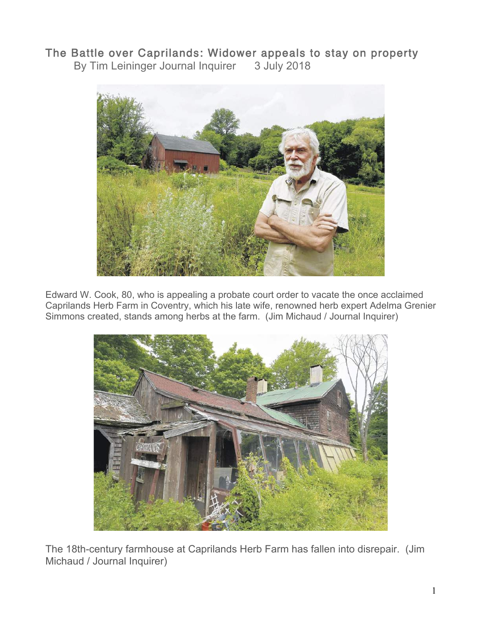## The Battle over Caprilands: Widower appeals to stay on property

By Tim Leininger Journal Inquirer 3 July 2018



Edward W. Cook, 80, who is appealing a probate court order to vacate the once acclaimed Caprilands Herb Farm in Coventry, which his late wife, renowned herb expert Adelma Grenier Simmons created, stands among herbs at the farm. (Jim Michaud / Journal Inquirer)



The 18th-century farmhouse at Caprilands Herb Farm has fallen into disrepair. (Jim Michaud / Journal Inquirer)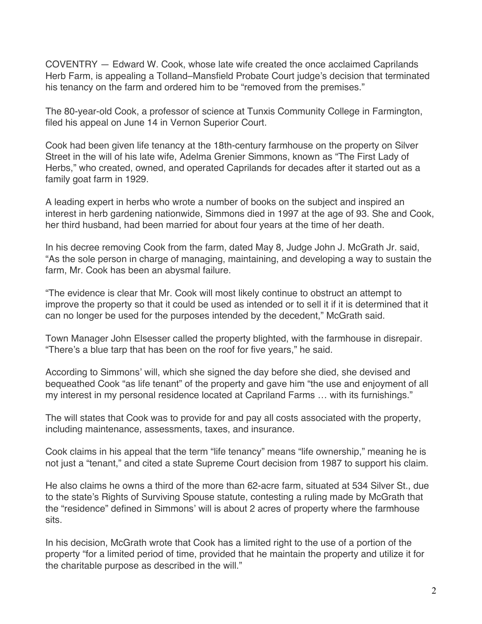COVENTRY — Edward W. Cook, whose late wife created the once acclaimed Caprilands Herb Farm, is appealing a Tolland–Mansfield Probate Court judge's decision that terminated his tenancy on the farm and ordered him to be "removed from the premises."

The 80-year-old Cook, a professor of science at Tunxis Community College in Farmington, filed his appeal on June 14 in Vernon Superior Court.

Cook had been given life tenancy at the 18th-century farmhouse on the property on Silver Street in the will of his late wife, Adelma Grenier Simmons, known as "The First Lady of Herbs," who created, owned, and operated Caprilands for decades after it started out as a family goat farm in 1929.

A leading expert in herbs who wrote a number of books on the subject and inspired an interest in herb gardening nationwide, Simmons died in 1997 at the age of 93. She and Cook, her third husband, had been married for about four years at the time of her death.

In his decree removing Cook from the farm, dated May 8, Judge John J. McGrath Jr. said, "As the sole person in charge of managing, maintaining, and developing a way to sustain the farm, Mr. Cook has been an abysmal failure.

"The evidence is clear that Mr. Cook will most likely continue to obstruct an attempt to improve the property so that it could be used as intended or to sell it if it is determined that it can no longer be used for the purposes intended by the decedent," McGrath said.

Town Manager John Elsesser called the property blighted, with the farmhouse in disrepair. "There's a blue tarp that has been on the roof for five years," he said.

According to Simmons' will, which she signed the day before she died, she devised and bequeathed Cook "as life tenant" of the property and gave him "the use and enjoyment of all my interest in my personal residence located at Capriland Farms … with its furnishings."

The will states that Cook was to provide for and pay all costs associated with the property, including maintenance, assessments, taxes, and insurance.

Cook claims in his appeal that the term "life tenancy" means "life ownership," meaning he is not just a "tenant," and cited a state Supreme Court decision from 1987 to support his claim.

He also claims he owns a third of the more than 62-acre farm, situated at 534 Silver St., due to the state's Rights of Surviving Spouse statute, contesting a ruling made by McGrath that the "residence" defined in Simmons' will is about 2 acres of property where the farmhouse sits.

In his decision, McGrath wrote that Cook has a limited right to the use of a portion of the property "for a limited period of time, provided that he maintain the property and utilize it for the charitable purpose as described in the will."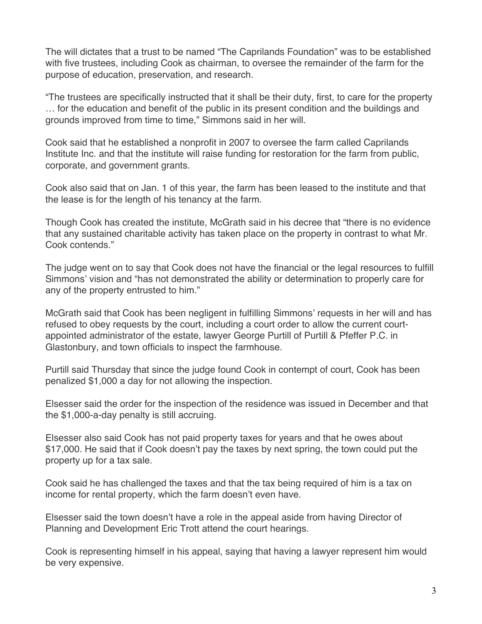The will dictates that a trust to be named "The Caprilands Foundation" was to be established with five trustees, including Cook as chairman, to oversee the remainder of the farm for the purpose of education, preservation, and research.

"The trustees are specifically instructed that it shall be their duty, first, to care for the property … for the education and benefit of the public in its present condition and the buildings and grounds improved from time to time," Simmons said in her will.

Cook said that he established a nonprofit in 2007 to oversee the farm called Caprilands Institute Inc. and that the institute will raise funding for restoration for the farm from public, corporate, and government grants.

Cook also said that on Jan. 1 of this year, the farm has been leased to the institute and that the lease is for the length of his tenancy at the farm.

Though Cook has created the institute, McGrath said in his decree that "there is no evidence that any sustained charitable activity has taken place on the property in contrast to what Mr. Cook contends."

The judge went on to say that Cook does not have the financial or the legal resources to fulfill Simmons' vision and "has not demonstrated the ability or determination to properly care for any of the property entrusted to him."

McGrath said that Cook has been negligent in fulfilling Simmons' requests in her will and has refused to obey requests by the court, including a court order to allow the current courtappointed administrator of the estate, lawyer George Purtill of Purtill & Pfeffer P.C. in Glastonbury, and town officials to inspect the farmhouse.

Purtill said Thursday that since the judge found Cook in contempt of court, Cook has been penalized \$1,000 a day for not allowing the inspection.

Elsesser said the order for the inspection of the residence was issued in December and that the \$1,000-a-day penalty is still accruing.

Elsesser also said Cook has not paid property taxes for years and that he owes about \$17,000. He said that if Cook doesn't pay the taxes by next spring, the town could put the property up for a tax sale.

Cook said he has challenged the taxes and that the tax being required of him is a tax on income for rental property, which the farm doesn't even have.

Elsesser said the town doesn't have a role in the appeal aside from having Director of Planning and Development Eric Trott attend the court hearings.

Cook is representing himself in his appeal, saying that having a lawyer represent him would be very expensive.